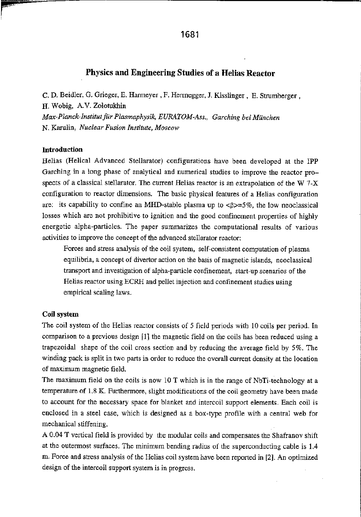# Physics and Engineering Studies of <sup>a</sup> Helias Reactor

C. D. Beidler, G. Grieger. E. Harmeyer , F. Herrnegger, J. Kisslinger , E. Strumberger , H. Wobig, A.V. Zolotukhin Max-Planck-Institut für Plasmaphysik, EURATOM-Ass,, Garching bei München N. Karulin, Nuclear Fusion Institute, Moscow

## Introduction

Helias (Helical Advanced Stellarator) configurations have been developed at the IPP Garching in <sup>a</sup> long phase of analytical and numerical studies to improve the reactor pro spects of <sup>a</sup> classical stellarator. The current Helias reactor is an extrapolation of the W 7—X configuration to reactor dimensions. The basic physical features of <sup>a</sup> Helias configuration are: its capability to confine an MHD-stable plasma up to  $\langle \beta \rangle = 5\%$ , the low neoclassical losses which are not prohibitive to ignition and the good confinement properties of highly energetic alpha—particles. The paper summarizes the computational results of various activities to improve the concept of the advanced stellarator reactor:

Forces and stress analysis of the coil system, self-consistent computation of plasma equilibria, <sup>a</sup> concept of divertor action on the basis of magnetic islands, neoclassical transport and investigation of alpha-particle confinement, start-up scenarios of the Helias reactor using ECRH and pellet injection and confinement studies using empirical scaling laws.

# Coil system

The coil system of the Helias reactor consists of 5 field periods with 10 coils per period. In comparison to <sup>a</sup> previous design [11 the magnetic field on the coils has been reduced using <sup>a</sup> trapezoidal shape of the coil cross section and by reducing the average field by 5%. The winding pack is split in two parts in order to reduce the overall current density at the location of maximum magnetic field.

The maximum field on the coils is now 10 T which is in the range of NbTi-technology at a temperature of 1.8 K. Furthermore, slight modifications of the coil geometry have been made to account for the necessary space for blanket and intercoil support elements. Each coil is enclosed in <sup>a</sup> steel case, which is designed as <sup>a</sup> box—type profile with <sup>a</sup> central web for mechanical stiffening.

<sup>A</sup> 0.04 <sup>T</sup> vertical field is provided by the modular coils and compensates the Shafranov shift at the outermost surfaces. The minimum bending radius of the superconducting cable is 1.4 m. Force and stress analysis of the Helias coil system have been reported in [2]. An optimized design of the intercoil support system is in progress.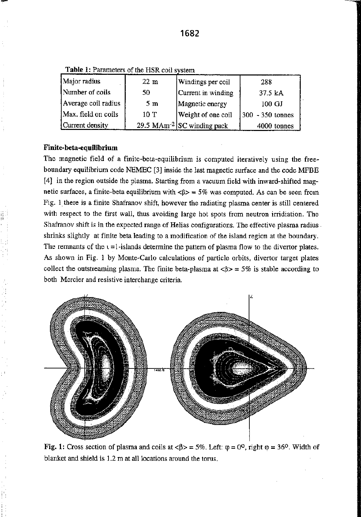Table 1: Parameters of the HSR coil system

| Major radius        | $22 \text{ m}$ | Windings per coil                      | 288                |
|---------------------|----------------|----------------------------------------|--------------------|
| Number of coils     | 50             | Current in winding                     | 37.5 kA            |
| Average coil radius | 5m             | Magnetic energy                        | 100 GJ             |
| Max. field on coils | 10T            | Weight of one coil                     | $300 - 350$ tonnes |
| Current density     |                | 29.5 MAm <sup>-2</sup> SC winding pack | 4000 tonnes        |

# Finite-beta-equilibrium

The magnetic field of a finite-beta-equilibrium is computed iteratively using the freeboundary equilibrium code NEMEC [3]inside the last magnetic surface and the code MFBE [4] in the region outside the plasma. Starting from a vacuum field with inward-shifted magnetic surfaces, a finite-beta equilibrium with  $\langle \beta \rangle = 5\%$  was computed. As can be seen from Fig. <sup>1</sup> there is <sup>a</sup> finite Shafranov shift, however the radiating plasma center is still centered with respect to the first wall, thus avoiding large hot spots from neutron irridiation. The Shafranov shift is in the expected range of Helias configurations. The effective plasma radius . shrinks slightly at finite beta leading to <sup>a</sup> modification of the island region at the boundary. The remnants of the  $t = 1$ -islands determine the pattern of plasma flow to the divertor plates. As shown in Fig. 1 by Monte-Carlo calculations of particle orbits, divertor target plates collect the outstreaming plasma. The finite beta-plasma at  $\langle \beta \rangle = 5\%$  is stable according to both Mercier and resistive interchange criteria.



Fig. 1: Cross section of plasma and coils at  $\langle \beta \rangle = 5\%$ . Left:  $\varphi = 0^0$ , right  $\varphi = 36^0$ . Width of blanket and shield is 1.2 <sup>m</sup> at all locations around the torus.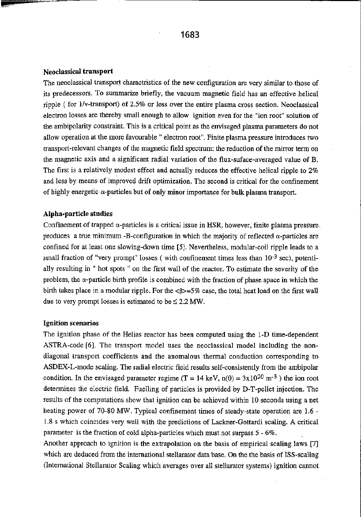#### Neoclassical transport

The neoclassical transport charactristics of the new configuration are very similar to those of its predecessors. To summarize briefly, the vacuum magnetic field has an effective helical ripple ( for  $1/v$ -transport) of 2.5% or less over the entire plasma cross section. Neoclassical electron losses are thereby small enough to allow ignition even for the "ion root" solution of the ambipolarity constraint. This is <sup>a</sup> critical point as the envisaged plasma parameters do not allow operation at the more favourable " electron root". Finite plasma pressure introduces two transport—relevant changes of the magnetic field spectrum: the reduction of the mirror term on the magnetic axis and <sup>a</sup> significant radial variation of the flux—suface—averaged value of B. The first is <sup>a</sup> relatively modest effect and actually reduces the effective helical ripple to 2% and less by means of improved drift Optimization. The second is critical for the confinement of highly energetic  $\alpha$ -particles but of only minor importance for bulk plasma transport.

#### Alpha-particle studies

Confinement of trapped  $\alpha$ -particles is a critical issue in HSR, however, finite plasma pressure. produces a true minimum -B-configuration in which the majority of reflected  $\alpha$ -particles are confined for at least one slowing-down time [5]. Nevertheless, modular-coil ripple leads to a small fraction of "very prompt" losses ( with confinement times less than  $10^{-3}$  sec), potentially resulting in "hot Spots " on the first wall of the reactor. To estimate the severity of the problem, the  $\alpha$ -particle birth profile is combined with the fraction of phase space in which the birth takes place in a modular ripple. For the  $\langle \beta \rangle = 5\%$  case, the total heat load on the first wall due to very prompt losses is estimated to be  $\leq 2.2$  MW.

## Ignition scenarios

The ignition phase of the Helias reactor has been computed using the 1-D time-dependent ASTRA~code [6]. The transport model uses the neoclassical model including the non diagonal tran5port coefficients and the anomalous thermal conduction corresponding to ASDEX-L-mode scaling. The radial electric field results self-consistently from the ambipolar condition. In the envisaged parameter regime (T = 14 keV,  $n(0) = 3x10^{20}$  m<sup>-3</sup>) the ion root determines the electric field. Fueiling of particles is provided by D—T-pellet injection. The results of the computations show that ignition can be achieved within 10 seconds using <sup>a</sup> net heating power of 70-80 MW. Typical confinement times of steady-state operation are 1.6 -L8 5 which coincides very well with the predictions of Lackner-Gottardi scaling. A critical parameter is the fraction of cold alpha-particles which must not surpass 5 - 6%.

Another approach to ignition is the extrapolation on the basis of empirical scaling laws {7] which are deduced from the international stellarator data base. On the the basis of ISS—scaling (International Stellarator Scaling which averages over all stellarator systems) ignition cannot